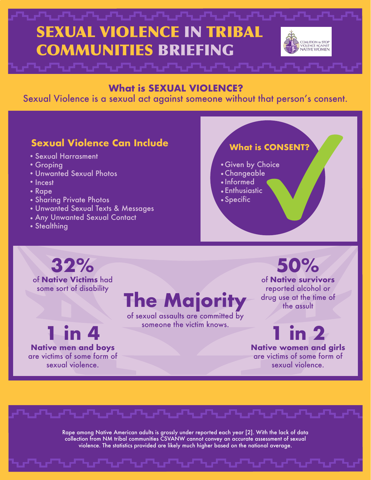### SEXUAL VIOLENCE IN TRIBAL COALITION to STOP COMMUNITIES BRIEFING /IOLENCE AGAINST<br>VATIVE WOMEN

#### **What is SEXUAL VIOLENCE?**

Sexual Violence is a sexual act against someone without that person's consent.

### **Sexual Violence Can Include**

- Sexual Harrasment
- Groping
- Unwanted Sexual Photos
- Incest
- Rape
- **Sharing Private Photos**
- Unwanted Sexual Texts & Messages
- Any Unwanted Sexual Contact
- Stealthing

### **What is CONSENT?**

- Given by Choice
- Changeable
- Informed
- Enthusiastic
- Specific

## **32%**

of **Native Victims** had some sort of disability

**1 in 4**

**Native men and boys** are victims of some form of sexual violence.

## **The Majority**

of sexual assaults are committed by someone the victim knows.

**50%** of **Native survivors**

reported alcohol or drug use at the time of the assult

**in 2 Native women and girls**  are victims of some form of sexual violence.

Rape among Native American adults is grossly under reported each year [2]. With the lack of data collection from NM tribal communities CSVANW cannot convey an accurate assessment of sexual violence. The statistics provided are likely much higher based on the national average.